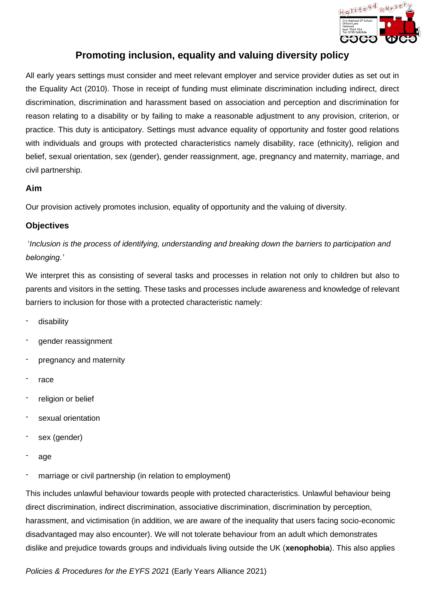

## **Promoting inclusion, equality and valuing diversity policy**

**Portunity in Clusters** and the EYFS 2021 (Early Years Alliance 2021)<br>
All early years settings must consider and mest relevant employer and service provider dutes as set<br>
the Eyresty Ad 20210). Those his mestal of turbing All early years settings must consider and meet relevant employer and service provider duties as set out in the Equality Act (2010). Those in receipt of funding must eliminate discrimination including indirect, direct discrimination, discrimination and harassment based on association and perception and discrimination for reason relating to a disability or by failing to make a reasonable adjustment to any provision, criterion, or practice. This duty is anticipatory. Settings must advance equality of opportunity and foster good relations with individuals and groups with protected characteristics namely disability, race (ethnicity), religion and belief, sexual orientation, sex (gender), gender reassignment, age, pregnancy and maternity, marriage, and civil partnership.

## **Aim**

Our provision actively promotes inclusion, equality of opportunity and the valuing of diversity.

## **Objectives**

'*Inclusion is the process of identifying, understanding and breaking down the barriers to participation and belonging.'*

We interpret this as consisting of several tasks and processes in relation not only to children but also to parents and visitors in the setting. These tasks and processes include awareness and knowledge of relevant barriers to inclusion for those with a protected characteristic namely:

- disability
- gender reassignment
- pregnancy and maternity
- race
- religion or belief
- sexual orientation
- sex (gender)
- age
- marriage or civil partnership (in relation to employment)

This includes unlawful behaviour towards people with protected characteristics. Unlawful behaviour being direct discrimination, indirect discrimination, associative discrimination, discrimination by perception, harassment, and victimisation (in addition, we are aware of the inequality that users facing socio-economic disadvantaged may also encounter). We will not tolerate behaviour from an adult which demonstrates dislike and prejudice towards groups and individuals living outside the UK (**xenophobia**). This also applies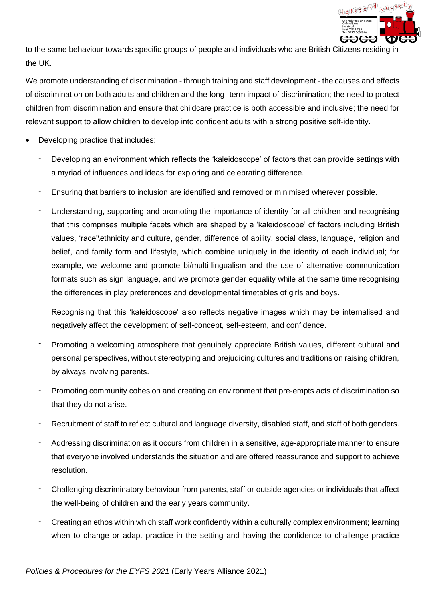

to the same behaviour towards specific groups of people and individuals who are British Citizens residing in the UK.

We promote understanding of discrimination - through training and staff development - the causes and effects of discrimination on both adults and children and the long- term impact of discrimination; the need to protect children from discrimination and ensure that childcare practice is both accessible and inclusive; the need for relevant support to allow children to develop into confident adults with a strong positive self-identity.

- Developing practice that includes:
	- Developing an environment which reflects the 'kaleidoscope' of factors that can provide settings with a myriad of influences and ideas for exploring and celebrating difference.
	- Ensuring that barriers to inclusion are identified and removed or minimised wherever possible.
- **Policies anne behaviour lowards specific groups of people and individuals who are British Clibrets (PS-<br>
Policies AV-<br>
Policies AV-<br>
Policies and the EYFS 2021<br>
Policies and the EYFS 2021 (Early Years Alliance 2021) C/or** Understanding, supporting and promoting the importance of identity for all children and recognising that this comprises multiple facets which are shaped by a 'kaleidoscope' of factors including British values, 'race'\ethnicity and culture, gender, difference of ability, social class, language, religion and belief, and family form and lifestyle, which combine uniquely in the identity of each individual; for example, we welcome and promote bi/multi-lingualism and the use of alternative communication formats such as sign language, and we promote gender equality while at the same time recognising the differences in play preferences and developmental timetables of girls and boys.
	- Recognising that this 'kaleidoscope' also reflects negative images which may be internalised and negatively affect the development of self-concept, self-esteem, and confidence.
	- Promoting a welcoming atmosphere that genuinely appreciate British values, different cultural and personal perspectives, without stereotyping and prejudicing cultures and traditions on raising children, by always involving parents.
	- Promoting community cohesion and creating an environment that pre-empts acts of discrimination so that they do not arise.
	- Recruitment of staff to reflect cultural and language diversity, disabled staff, and staff of both genders.
	- Addressing discrimination as it occurs from children in a sensitive, age-appropriate manner to ensure that everyone involved understands the situation and are offered reassurance and support to achieve resolution.
	- Challenging discriminatory behaviour from parents, staff or outside agencies or individuals that affect the well-being of children and the early years community.
	- Creating an ethos within which staff work confidently within a culturally complex environment; learning when to change or adapt practice in the setting and having the confidence to challenge practice